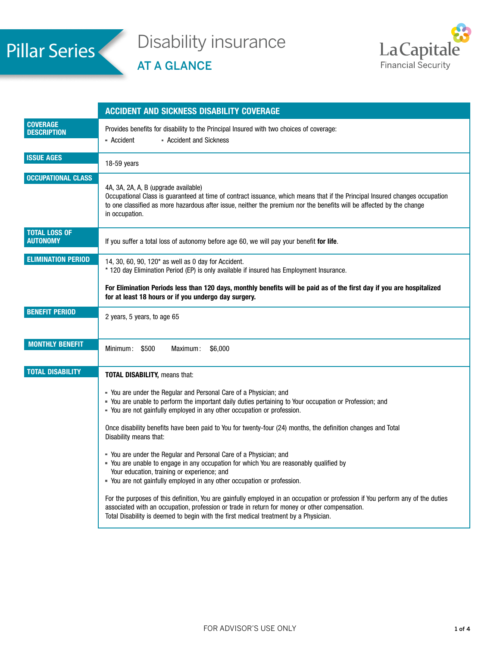# Pillar Series

## Disability insurance

AT A GLANCE



|                                         | <b>ACCIDENT AND SICKNESS DISABILITY COVERAGE</b>                                                                                                                                                                                                                                                                         |  |  |  |  |
|-----------------------------------------|--------------------------------------------------------------------------------------------------------------------------------------------------------------------------------------------------------------------------------------------------------------------------------------------------------------------------|--|--|--|--|
| <b>COVERAGE</b><br><b>DESCRIPTION</b>   | Provides benefits for disability to the Principal Insured with two choices of coverage:<br>• Accident and Sickness<br>- Accident                                                                                                                                                                                         |  |  |  |  |
| <b>ISSUE AGES</b>                       | 18-59 years                                                                                                                                                                                                                                                                                                              |  |  |  |  |
| <b>OCCUPATIONAL CLASS</b>               | 4A, 3A, 2A, A, B (upgrade available)<br>Occupational Class is guaranteed at time of contract issuance, which means that if the Principal Insured changes occupation<br>to one classified as more hazardous after issue, neither the premium nor the benefits will be affected by the change<br>in occupation.            |  |  |  |  |
| <b>TOTAL LOSS OF</b><br><b>AUTONOMY</b> | If you suffer a total loss of autonomy before age 60, we will pay your benefit for life.                                                                                                                                                                                                                                 |  |  |  |  |
| <b>ELIMINATION PERIOD</b>               | 14, 30, 60, 90, 120* as well as 0 day for Accident.<br>* 120 day Elimination Period (EP) is only available if insured has Employment Insurance.                                                                                                                                                                          |  |  |  |  |
|                                         | For Elimination Periods less than 120 days, monthly benefits will be paid as of the first day if you are hospitalized<br>for at least 18 hours or if you undergo day surgery.                                                                                                                                            |  |  |  |  |
| <b>BENEFIT PERIOD</b>                   | 2 years, 5 years, to age 65                                                                                                                                                                                                                                                                                              |  |  |  |  |
| <b>MONTHLY BENEFIT</b>                  | Minimum: \$500<br>Maximum:<br>\$6,000                                                                                                                                                                                                                                                                                    |  |  |  |  |
| <b>TOTAL DISABILITY</b>                 | <b>TOTAL DISABILITY, means that:</b>                                                                                                                                                                                                                                                                                     |  |  |  |  |
|                                         | " You are under the Regular and Personal Care of a Physician; and<br>" You are unable to perform the important daily duties pertaining to Your occupation or Profession; and<br>- You are not gainfully employed in any other occupation or profession.                                                                  |  |  |  |  |
|                                         | Once disability benefits have been paid to You for twenty-four (24) months, the definition changes and Total<br>Disability means that:                                                                                                                                                                                   |  |  |  |  |
|                                         | " You are under the Regular and Personal Care of a Physician; and<br>- You are unable to engage in any occupation for which You are reasonably qualified by<br>Your education, training or experience; and<br>- You are not gainfully employed in any other occupation or profession.                                    |  |  |  |  |
|                                         | For the purposes of this definition, You are gainfully employed in an occupation or profession if You perform any of the duties<br>associated with an occupation, profession or trade in return for money or other compensation.<br>Total Disability is deemed to begin with the first medical treatment by a Physician. |  |  |  |  |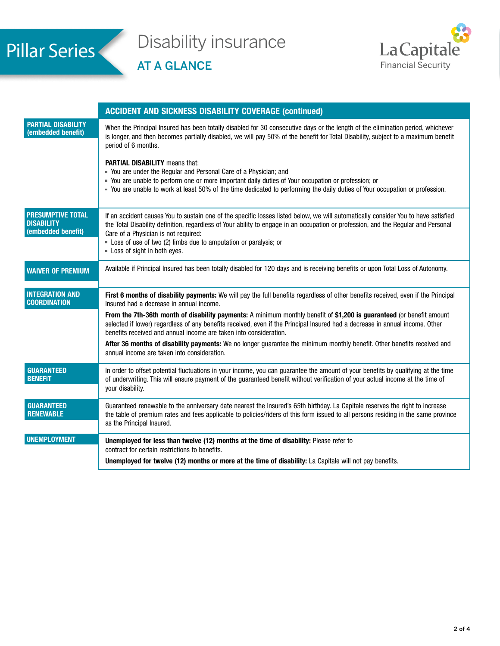

## Disability insurance

AT A GLANCE



|                                                                     | <b>ACCIDENT AND SICKNESS DISABILITY COVERAGE (continued)</b>                                                                                                                                                                                                                                                                                                                                                           |  |  |  |
|---------------------------------------------------------------------|------------------------------------------------------------------------------------------------------------------------------------------------------------------------------------------------------------------------------------------------------------------------------------------------------------------------------------------------------------------------------------------------------------------------|--|--|--|
| <b>PARTIAL DISABILITY</b><br>(embedded benefit)                     | When the Principal Insured has been totally disabled for 30 consecutive days or the length of the elimination period, whichever<br>is longer, and then becomes partially disabled, we will pay 50% of the benefit for Total Disability, subject to a maximum benefit<br>period of 6 months.                                                                                                                            |  |  |  |
|                                                                     | <b>PARTIAL DISABILITY means that:</b><br>" You are under the Regular and Personal Care of a Physician; and<br>- You are unable to perform one or more important daily duties of Your occupation or profession; or<br>- You are unable to work at least 50% of the time dedicated to performing the daily duties of Your occupation or profession.                                                                      |  |  |  |
| <b>PRESUMPTIVE TOTAL</b><br><b>DISABILITY</b><br>(embedded benefit) | If an accident causes You to sustain one of the specific losses listed below, we will automatically consider You to have satisfied<br>the Total Disability definition, regardless of Your ability to engage in an occupation or profession, and the Regular and Personal<br>Care of a Physician is not required:<br>- Loss of use of two (2) limbs due to amputation or paralysis; or<br>- Loss of sight in both eyes. |  |  |  |
| <b>WAIVER OF PREMIUM</b>                                            | Available if Principal Insured has been totally disabled for 120 days and is receiving benefits or upon Total Loss of Autonomy.                                                                                                                                                                                                                                                                                        |  |  |  |
| <b>INTEGRATION AND</b><br><b>COORDINATION</b>                       | First 6 months of disability payments: We will pay the full benefits regardless of other benefits received, even if the Principal<br>Insured had a decrease in annual income.                                                                                                                                                                                                                                          |  |  |  |
|                                                                     | From the 7th-36th month of disability payments: A minimum monthly benefit of \$1,200 is guaranteed (or benefit amount<br>selected if lower) regardless of any benefits received, even if the Principal Insured had a decrease in annual income. Other<br>benefits received and annual income are taken into consideration.                                                                                             |  |  |  |
|                                                                     | After 36 months of disability payments: We no longer guarantee the minimum monthly benefit. Other benefits received and<br>annual income are taken into consideration.                                                                                                                                                                                                                                                 |  |  |  |
| <b>GUARANTEED</b><br><b>BENEFIT</b>                                 | In order to offset potential fluctuations in your income, you can guarantee the amount of your benefits by qualifying at the time<br>of underwriting. This will ensure payment of the guaranteed benefit without verification of your actual income at the time of<br>your disability.                                                                                                                                 |  |  |  |
| <b>GUARANTEED</b><br><b>RENEWABLE</b>                               | Guaranteed renewable to the anniversary date nearest the Insured's 65th birthday. La Capitale reserves the right to increase<br>the table of premium rates and fees applicable to policies/riders of this form issued to all persons residing in the same province<br>as the Principal Insured.                                                                                                                        |  |  |  |
|                                                                     |                                                                                                                                                                                                                                                                                                                                                                                                                        |  |  |  |
| <b>UNEMPLOYMENT</b>                                                 | Unemployed for less than twelve (12) months at the time of disability: Please refer to<br>contract for certain restrictions to benefits.<br>Unemployed for twelve (12) months or more at the time of disability: La Capitale will not pay benefits.                                                                                                                                                                    |  |  |  |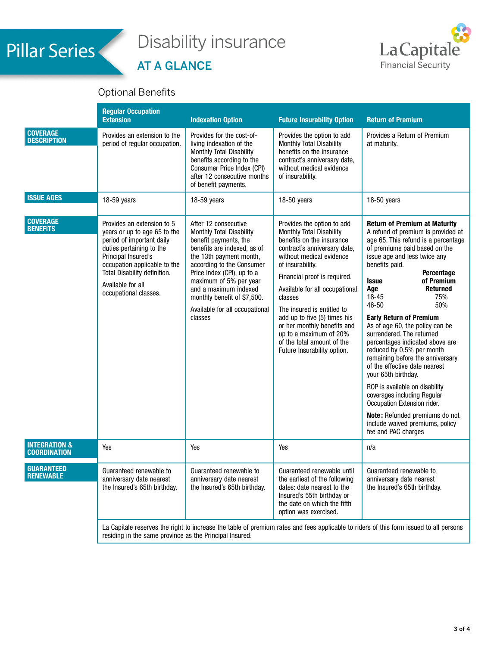## Pillar Series

# Disability insurance

## AT A GLANCE



## Optional Benefits

|                                                 | <b>Regular Occupation</b><br><b>Extension</b>                                                                                                                                                                                                            | <b>Indexation Option</b>                                                                                                                                                                                                                                                                                                      | <b>Future Insurability Option</b>                                                                                                                                                                                                                                                                                                                                                                                                    | <b>Return of Premium</b>                                                                                                                                                                                                                                                                                                                                                                                                                                                                                                                                                                                                                                                                                                                                                 |  |
|-------------------------------------------------|----------------------------------------------------------------------------------------------------------------------------------------------------------------------------------------------------------------------------------------------------------|-------------------------------------------------------------------------------------------------------------------------------------------------------------------------------------------------------------------------------------------------------------------------------------------------------------------------------|--------------------------------------------------------------------------------------------------------------------------------------------------------------------------------------------------------------------------------------------------------------------------------------------------------------------------------------------------------------------------------------------------------------------------------------|--------------------------------------------------------------------------------------------------------------------------------------------------------------------------------------------------------------------------------------------------------------------------------------------------------------------------------------------------------------------------------------------------------------------------------------------------------------------------------------------------------------------------------------------------------------------------------------------------------------------------------------------------------------------------------------------------------------------------------------------------------------------------|--|
| <b>COVERAGE</b><br><b>DESCRIPTION</b>           | Provides an extension to the<br>period of regular occupation.                                                                                                                                                                                            | Provides for the cost-of-<br>living indexation of the<br>Monthly Total Disability<br>benefits according to the<br>Consumer Price Index (CPI)<br>after 12 consecutive months<br>of benefit payments.                                                                                                                           | Provides the option to add<br>Monthly Total Disability<br>benefits on the insurance<br>contract's anniversary date,<br>without medical evidence<br>of insurability.                                                                                                                                                                                                                                                                  | Provides a Return of Premium<br>at maturity.                                                                                                                                                                                                                                                                                                                                                                                                                                                                                                                                                                                                                                                                                                                             |  |
| <b>ISSUE AGES</b>                               | 18-59 years                                                                                                                                                                                                                                              | 18-59 years                                                                                                                                                                                                                                                                                                                   | 18-50 years                                                                                                                                                                                                                                                                                                                                                                                                                          | 18-50 years                                                                                                                                                                                                                                                                                                                                                                                                                                                                                                                                                                                                                                                                                                                                                              |  |
| <b>COVERAGE</b><br><b>BENEFITS</b>              | Provides an extension to 5<br>years or up to age 65 to the<br>period of important daily<br>duties pertaining to the<br>Principal Insured's<br>occupation applicable to the<br>Total Disability definition.<br>Available for all<br>occupational classes. | After 12 consecutive<br>Monthly Total Disability<br>benefit payments, the<br>benefits are indexed, as of<br>the 13th payment month,<br>according to the Consumer<br>Price Index (CPI), up to a<br>maximum of 5% per year<br>and a maximum indexed<br>monthly benefit of \$7,500.<br>Available for all occupational<br>classes | Provides the option to add<br>Monthly Total Disability<br>benefits on the insurance<br>contract's anniversary date,<br>without medical evidence<br>of insurability.<br>Financial proof is required.<br>Available for all occupational<br>classes<br>The insured is entitled to<br>add up to five (5) times his<br>or her monthly benefits and<br>up to a maximum of 20%<br>of the total amount of the<br>Future Insurability option. | <b>Return of Premium at Maturity</b><br>A refund of premium is provided at<br>age 65. This refund is a percentage<br>of premiums paid based on the<br>issue age and less twice any<br>benefits paid.<br>Percentage<br><b>Issue</b><br>of Premium<br>Age<br><b>Returned</b><br>$18 - 45$<br>75%<br>46-50<br>50%<br><b>Early Return of Premium</b><br>As of age 60, the policy can be<br>surrendered. The returned<br>percentages indicated above are<br>reduced by 0.5% per month<br>remaining before the anniversary<br>of the effective date nearest<br>your 65th birthday.<br>ROP is available on disability<br>coverages including Regular<br>Occupation Extension rider.<br>Note: Refunded premiums do not<br>include waived premiums, policy<br>fee and PAC charges |  |
| <b>INTEGRATION &amp;</b><br><b>COORDINATION</b> | Yes                                                                                                                                                                                                                                                      | Yes                                                                                                                                                                                                                                                                                                                           | Yes                                                                                                                                                                                                                                                                                                                                                                                                                                  | n/a                                                                                                                                                                                                                                                                                                                                                                                                                                                                                                                                                                                                                                                                                                                                                                      |  |
| <b>GUARANTEED</b><br><b>RENEWABLE</b>           | Guaranteed renewable to<br>anniversary date nearest<br>the Insured's 65th birthday.                                                                                                                                                                      | Guaranteed renewable to<br>anniversary date nearest<br>the Insured's 65th birthday.                                                                                                                                                                                                                                           | Guaranteed renewable until<br>the earliest of the following<br>dates: date nearest to the<br>Insured's 55th birthday or<br>the date on which the fifth<br>option was exercised.                                                                                                                                                                                                                                                      | Guaranteed renewable to<br>anniversary date nearest<br>the Insured's 65th birthday.                                                                                                                                                                                                                                                                                                                                                                                                                                                                                                                                                                                                                                                                                      |  |
|                                                 | La Capitale reserves the right to increase the table of premium rates and fees applicable to riders of this form issued to all persons<br>residing in the same province as the Principal Insured.                                                        |                                                                                                                                                                                                                                                                                                                               |                                                                                                                                                                                                                                                                                                                                                                                                                                      |                                                                                                                                                                                                                                                                                                                                                                                                                                                                                                                                                                                                                                                                                                                                                                          |  |